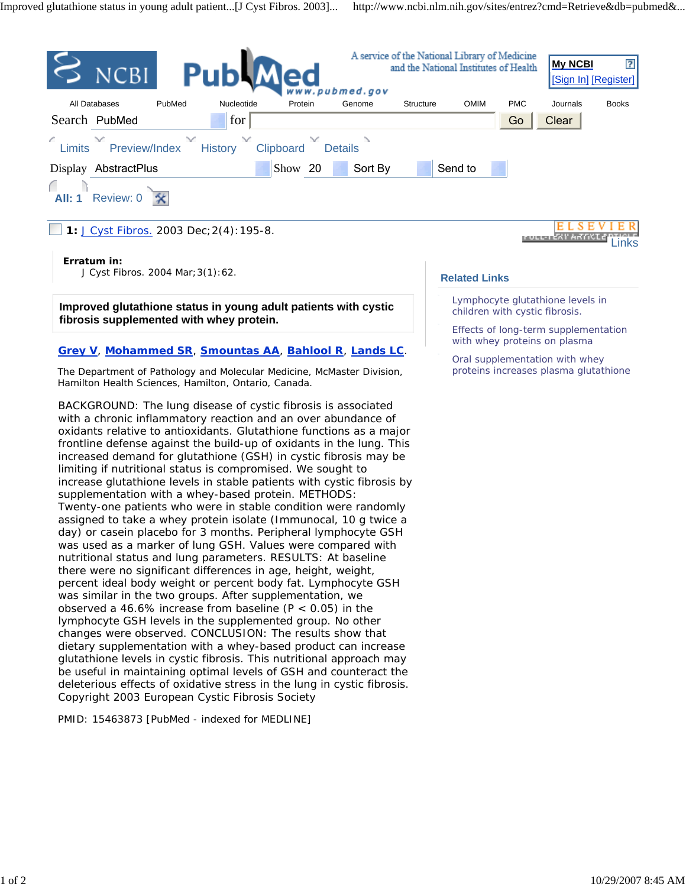

BACKGROUND: The lung disease of cystic fibrosis is associated with a chronic inflammatory reaction and an over abundance of oxidants relative to antioxidants. Glutathione functions as a major frontline defense against the build-up of oxidants in the lung. This increased demand for glutathione (GSH) in cystic fibrosis may be limiting if nutritional status is compromised. We sought to increase glutathione levels in stable patients with cystic fibrosis by supplementation with a whey-based protein. METHODS: Twenty-one patients who were in stable condition were randomly assigned to take a whey protein isolate (Immunocal, 10 g twice a day) or casein placebo for 3 months. Peripheral lymphocyte GSH was used as a marker of lung GSH. Values were compared with nutritional status and lung parameters. RESULTS: At baseline there were no significant differences in age, height, weight, percent ideal body weight or percent body fat. Lymphocyte GSH was similar in the two groups. After supplementation, we observed a 46.6% increase from baseline ( $P < 0.05$ ) in the lymphocyte GSH levels in the supplemented group. No other changes were observed. CONCLUSION: The results show that dietary supplementation with a whey-based product can increase glutathione levels in cystic fibrosis. This nutritional approach may be useful in maintaining optimal levels of GSH and counteract the deleterious effects of oxidative stress in the lung in cystic fibrosis. Copyright 2003 European Cystic Fibrosis Society

PMID: 15463873 [PubMed - indexed for MEDLINE]